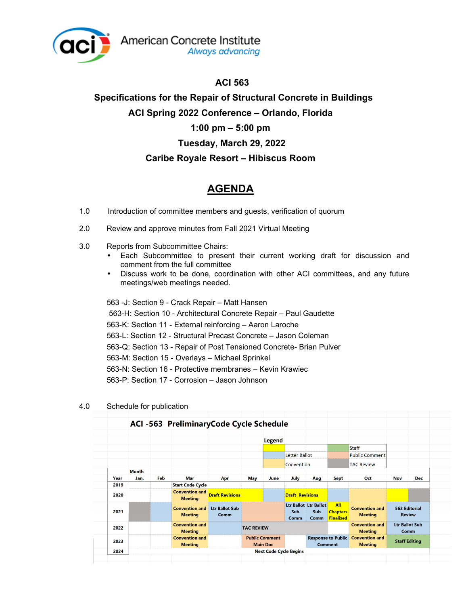

## **ACI 563**

## **Specifications for the Repair of Structural Concrete in Buildings ACI Spring 2022 Conference – Orlando, Florida 1:00 pm – 5:00 pm Tuesday, March 29, 2022 Caribe Royale Resort – Hibiscus Room**

## **AGENDA**

- 1.0 Introduction of committee members and guests, verification of quorum
- 2.0 Review and approve minutes from Fall 2021 Virtual Meeting
- 3.0 Reports from Subcommittee Chairs:
	- Each Subcommittee to present their current working draft for discussion and comment from the full committee
	- Discuss work to be done, coordination with other ACI committees, and any future meetings/web meetings needed.

563 -J: Section 9 - Crack Repair – Matt Hansen 563-H: Section 10 - Architectural Concrete Repair – Paul Gaudette 563-K: Section 11 - External reinforcing – Aaron Laroche 563-L: Section 12 - Structural Precast Concrete – Jason Coleman 563-Q: Section 13 - Repair of Post Tensioned Concrete- Brian Pulver 563-M: Section 15 - Overlays – Michael Sprinkel 563-N: Section 16 - Protective membranes – Kevin Krawiec 563-P: Section 17 - Corrosion – Jason Johnson

|      |              |     | ACI -563 PreliminaryCode Cycle Schedule |                               |                                          |                               |                        |                                      |                                             |                                         |                                       |            |
|------|--------------|-----|-----------------------------------------|-------------------------------|------------------------------------------|-------------------------------|------------------------|--------------------------------------|---------------------------------------------|-----------------------------------------|---------------------------------------|------------|
|      |              |     |                                         |                               |                                          | Legend                        |                        |                                      |                                             |                                         |                                       |            |
|      |              |     |                                         |                               |                                          |                               |                        |                                      |                                             | <b>Staff</b>                            |                                       |            |
|      |              |     |                                         |                               |                                          |                               | Letter Ballot          |                                      |                                             | <b>Public Comment</b>                   |                                       |            |
|      |              |     |                                         |                               |                                          |                               | Convention             |                                      |                                             | <b>TAC Review</b>                       |                                       |            |
|      | <b>Month</b> |     |                                         |                               |                                          |                               |                        |                                      |                                             |                                         |                                       |            |
| Year | Jan.         | Feb | <b>Mar</b>                              | Apr                           | May                                      | June                          | <b>July</b>            | Aug                                  | Sept                                        | Oct                                     | <b>Nov</b>                            | <b>Dec</b> |
| 2019 |              |     | <b>Start Code Cycle</b>                 |                               |                                          |                               |                        |                                      |                                             |                                         |                                       |            |
| 2020 |              |     | <b>Convention and</b><br><b>Meeting</b> | <b>Draft Revisions</b>        |                                          |                               | <b>Draft Revisions</b> |                                      |                                             |                                         |                                       |            |
| 2021 |              |     | <b>Convention and</b><br><b>Meeting</b> | <b>Ltr Ballot Sub</b><br>Comm |                                          |                               | Sub<br>Comm            | Ltr Ballot Ltr Ballot<br>Sub<br>Comm | All<br><b>Chapters</b><br><b>Finalized</b>  | <b>Convention and</b><br><b>Meeting</b> | <b>563 Editorial</b><br><b>Review</b> |            |
| 2022 |              |     | <b>Convention and</b><br><b>Meeting</b> |                               | <b>TAC REVIEW</b>                        |                               |                        |                                      | <b>Convention and</b><br><b>Meeting</b>     | <b>Ltr Ballot Sub</b><br>Comm           |                                       |            |
| 2023 |              |     | <b>Convention and</b><br><b>Meeting</b> |                               | <b>Public Comment</b><br><b>Main Doc</b> |                               |                        |                                      | <b>Response to Public</b><br><b>Comment</b> | <b>Convention and</b><br><b>Meeting</b> | <b>Staff Editing</b>                  |            |
| 2024 |              |     |                                         |                               |                                          | <b>Next Code Cycle Begins</b> |                        |                                      |                                             |                                         |                                       |            |

4.0 Schedule for publication